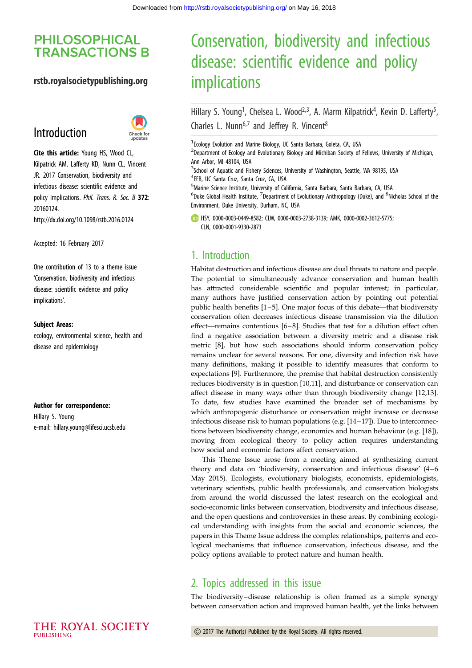# **PHILOSOPHICAL TRANSACTIONS B**

## rstb.royalsocietypublishing.org

# Introduction



Cite this article: Young HS, Wood CL, Kilpatrick AM, Lafferty KD, Nunn CL, Vincent JR. 2017 Conservation, biodiversity and infectious disease: scientific evidence and policy implications. Phil. Trans. R. Soc. B 372: 20160124. http://dx.doi.org/10.1098/rstb.2016.0124

Accepted: 16 February 2017

One contribution of 13 to a theme issue ['Conservation, biodiversity and infectious](http://dx.doi.org/10.1098/rstb/372/1722) [disease: scientific evidence and policy](http://dx.doi.org/10.1098/rstb/372/1722) [implications'.](http://dx.doi.org/10.1098/rstb/372/1722)

#### Subject Areas:

ecology, environmental science, health and disease and epidemiology

#### Author for correspondence:

Hillary S. Young e-mail: [hillary.young@lifesci.ucsb.edu](mailto:hillary.young@lifesci.ucsb.edu)

### THE ROYAL SOCIETY PURLISHING

# Conservation, biodiversity and infectious disease: scientific evidence and policy implications

Hillary S. Young<sup>1</sup>, Chelsea L. Wood<sup>2,3</sup>, A. Marm Kilpatrick<sup>4</sup>, Kevin D. Lafferty<sup>5</sup> , Charles L. Nunn<sup>6,7</sup> and Jeffrey R. Vincent<sup>8</sup>

<sup>1</sup> Ecology Evolution and Marine Biology, UC Santa Barbara, Goleta, CA, USA

2 Department of Ecology and Evolutionary Biology and Michiban Society of Fellows, University of Michigan, Ann Arbor, MI 48104, USA

<sup>3</sup>School of Aquatic and Fishery Sciences, University of Washington, Seattle, WA 98195, USA 4 EEB, UC Santa Cruz, Santa Cruz, CA, USA

<sup>5</sup>Marine Science Institute, University of California, Santa Barbara, Santa Barbara, CA, USA

 $^6$ Duke Global Health Institute,  $^7$ Department of Evolutionary Anthropology (Duke), and  $^8$ Nicholas School of the Environment, Duke University, Durham, NC, USA

HSY, [0000-0003-0449-8582;](http://orcid.org/0000-0003-0449-8582) CLW, [0000-0003-2738-3139;](http://orcid.org/0000-0003-2738-3139) AMK, [0000-0002-3612-5775](http://orcid.org/0000-0002-3612-5775); CLN, [0000-0001-9330-2873](http://orcid.org/0000-0001-9330-2873)

## 1. Introduction

Habitat destruction and infectious disease are dual threats to nature and people. The potential to simultaneously advance conservation and human health has attracted considerable scientific and popular interest; in particular, many authors have justified conservation action by pointing out potential public health benefits [\[1](#page-2-0)–[5\]](#page-2-0). One major focus of this debate—that biodiversity conservation often decreases infectious disease transmission via the dilution effect—remains contentious [\[6](#page-2-0)–[8](#page-2-0)]. Studies that test for a dilution effect often find a negative association between a diversity metric and a disease risk metric [\[8\]](#page-2-0), but how such associations should inform conservation policy remains unclear for several reasons. For one, diversity and infection risk have many definitions, making it possible to identify measures that conform to expectations [\[9\]](#page-2-0). Furthermore, the premise that habitat destruction consistently reduces biodiversity is in question [\[10](#page-2-0),[11\]](#page-2-0), and disturbance or conservation can affect disease in many ways other than through biodiversity change [\[12](#page-2-0),[13\]](#page-2-0). To date, few studies have examined the broader set of mechanisms by which anthropogenic disturbance or conservation might increase or decrease infectious disease risk to human populations (e.g. [[14](#page-2-0) –[17](#page-2-0)]). Due to interconnections between biodiversity change, economics and human behaviour (e.g. [[18\]](#page-2-0)), moving from ecological theory to policy action requires understanding how social and economic factors affect conservation.

This Theme Issue arose from a meeting aimed at synthesizing current theory and data on 'biodiversity, conservation and infectious disease' (4–6 May 2015). Ecologists, evolutionary biologists, economists, epidemiologists, veterinary scientists, public health professionals, and conservation biologists from around the world discussed the latest research on the ecological and socio-economic links between conservation, biodiversity and infectious disease, and the open questions and controversies in these areas. By combining ecological understanding with insights from the social and economic sciences, the papers in this Theme Issue address the complex relationships, patterns and ecological mechanisms that influence conservation, infectious disease, and the policy options available to protect nature and human health.

# 2. Topics addressed in this issue

The biodiversity–disease relationship is often framed as a simple synergy between conservation action and improved human health, yet the links between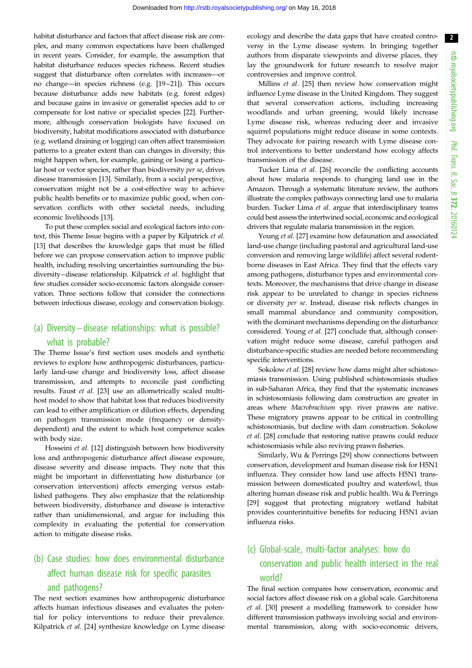2

habitat disturbance and factors that affect disease risk are complex, and many common expectations have been challenged in recent years. Consider, for example, the assumption that habitat disturbance reduces species richness. Recent studies suggest that disturbance often correlates with increases—or no change—in species richness (e.g. [[19](#page-2-0)–[21\]](#page-3-0)). This occurs because disturbance adds new habitats (e.g. forest edges) and because gains in invasive or generalist species add to or compensate for lost native or specialist species [\[22](#page-3-0)]. Furthermore, although conservation biologists have focused on biodiversity, habitat modifications associated with disturbance (e.g. wetland draining or logging) can often affect transmission patterns to a greater extent than can changes in diversity; this might happen when, for example, gaining or losing a particular host or vector species, rather than biodiversity per se, drives disease transmission [[13\]](#page-2-0). Similarly, from a social perspective, conservation might not be a cost-effective way to achieve public health benefits or to maximize public good, when conservation conflicts with other societal needs, including economic livelihoods [\[13](#page-2-0)].

To put these complex social and ecological factors into context, this Theme Issue begins with a paper by Kilpatrick et al. [\[13](#page-2-0)] that describes the knowledge gaps that must be filled before we can propose conservation action to improve public health, including resolving uncertainties surrounding the biodiversity–disease relationship. Kilpatrick et al. highlight that few studies consider socio-economic factors alongside conservation. Three sections follow that consider the connections between infectious disease, ecology and conservation biology.

# (a) Diversity – disease relationships: what is possible? what is probable?

The Theme Issue's first section uses models and synthetic reviews to explore how anthropogenic disturbances, particularly land-use change and biodiversity loss, affect disease transmission, and attempts to reconcile past conflicting results. Faust et al. [[23\]](#page-3-0) use an allometrically scaled multihost model to show that habitat loss that reduces biodiversity can lead to either amplification or dilution effects, depending on pathogen transmission mode (frequency or densitydependent) and the extent to which host competence scales with body size.

Hosseini et al. [\[12](#page-2-0)] distinguish between how biodiversity loss and anthropogenic disturbance affect disease exposure, disease severity and disease impacts. They note that this might be important in differentiating how disturbance (or conservation intervention) affects emerging versus established pathogens. They also emphasize that the relationship between biodiversity, disturbance and disease is interactive rather than unidimensional, and argue for including this complexity in evaluating the potential for conservation action to mitigate disease risks.

# (b) Case studies: how does environmental disturbance affect human disease risk for specific parasites and pathogens?

The next section examines how anthropogenic disturbance affects human infectious diseases and evaluates the potential for policy interventions to reduce their prevalence. Kilpatrick et al. [\[24](#page-3-0)] synthesize knowledge on Lyme disease

ecology and describe the data gaps that have created controversy in the Lyme disease system. In bringing together authors from disparate viewpoints and diverse places, they lay the groundwork for future research to resolve major controversies and improve control.

Millins et al. [\[25](#page-3-0)] then review how conservation might influence Lyme disease in the United Kingdom. They suggest that several conservation actions, including increasing woodlands and urban greening, would likely increase Lyme disease risk, whereas reducing deer and invasive squirrel populations might reduce disease in some contexts. They advocate for pairing research with Lyme disease control interventions to better understand how ecology affects transmission of the disease.

Tucker Lima et al. [\[26\]](#page-3-0) reconcile the conflicting accounts about how malaria responds to changing land use in the Amazon. Through a systematic literature review, the authors illustrate the complex pathways connecting land use to malaria burden. Tucker Lima et al. argue that interdisciplinary teams could best assess the intertwined social, economic and ecological drivers that regulate malaria transmission in the region.

Young et al. [[27\]](#page-3-0) examine how defaunation and associated land-use change (including pastoral and agricultural land-use conversion and removing large wildlife) affect several rodentborne diseases in East Africa. They find that the effects vary among pathogens, disturbance types and environmental contexts. Moreover, the mechanisms that drive change in disease risk appear to be unrelated to change in species richness or diversity per se. Instead, disease risk reflects changes in small mammal abundance and community composition, with the dominant mechanisms depending on the disturbance considered. Young et al. [[27\]](#page-3-0) conclude that, although conservation might reduce some disease, careful pathogen and disturbance-specific studies are needed before recommending specific interventions.

Sokolow *et al.* [\[28\]](#page-3-0) review how dams might alter schistosomiasis transmission. Using published schistosomiasis studies in sub-Saharan Africa, they find that the systematic increases in schistosomiasis following dam construction are greater in areas where Macrobrachium spp. river prawns are native. These migratory prawns appear to be critical in controlling schistosomiasis, but decline with dam construction. Sokolow et al. [\[28](#page-3-0)] conclude that restoring native prawns could reduce schistosomiasis while also reviving prawn fisheries.

Similarly, Wu & Perrings [[29\]](#page-3-0) show connections between conservation, development and human disease risk for H5N1 influenza. They consider how land use affects H5N1 transmission between domesticated poultry and waterfowl, thus altering human disease risk and public health. Wu & Perrings [[29\]](#page-3-0) suggest that protecting migratory wetland habitat provides counterintuitive benefits for reducing H5N1 avian influenza risks.

# (c) Global-scale, multi-factor analyses: how do conservation and public health intersect in the real world?

The final section compares how conservation, economic and social factors affect disease risk on a global scale. Garchitorena et al. [\[30\]](#page-3-0) present a modelling framework to consider how different transmission pathways involving social and environmental transmission, along with socio-economic drivers,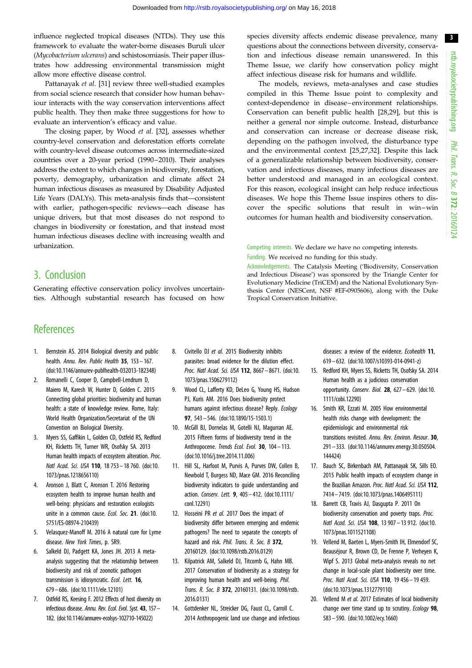<span id="page-2-0"></span>influence neglected tropical diseases (NTDs). They use this framework to evaluate the water-borne diseases Buruli ulcer (Mycobacterium ulcerans) and schistosomiasis. Their paper illustrates how addressing environmental transmission might allow more effective disease control.

Pattanayak et al. [\[31](#page-3-0)] review three well-studied examples from social science research that consider how human behaviour interacts with the way conservation interventions affect public health. They then make three suggestions for how to evaluate an intervention's efficacy and value.

The closing paper, by Wood et al. [[32](#page-3-0)], assesses whether country-level conservation and deforestation efforts correlate with country-level disease outcomes across intermediate-sized countries over a 20-year period (1990–2010). Their analyses address the extent to which changes in biodiversity, forestation, poverty, demography, urbanization and climate affect 24 human infectious diseases as measured by Disability Adjusted Life Years (DALYs). This meta-analysis finds that—consistent with earlier, pathogen-specific reviews—each disease has unique drivers, but that most diseases do not respond to changes in biodiversity or forestation, and that instead most human infectious diseases decline with increasing wealth and urbanization.

# 3. Conclusion

Generating effective conservation policy involves uncertainties. Although substantial research has focused on how

species diversity affects endemic disease prevalence, many questions about the connections between diversity, conservation and infectious disease remain unanswered. In this Theme Issue, we clarify how conservation policy might affect infectious disease risk for humans and wildlife.

The models, reviews, meta-analyses and case studies compiled in this Theme Issue point to complexity and context-dependence in disease –environment relationships. Conservation can benefit public health [[28,29\]](#page-3-0), but this is neither a general nor simple outcome. Instead, disturbance and conservation can increase or decrease disease risk, depending on the pathogen involved, the disturbance type and the environmental context [\[25,27](#page-3-0),[32\]](#page-3-0). Despite this lack of a generalizable relationship between biodiversity, conservation and infectious diseases, many infectious diseases are better understood and managed in an ecological context. For this reason, ecological insight can help reduce infectious diseases. We hope this Theme Issue inspires others to discover the specific solutions that result in win–win outcomes for human health and biodiversity conservation.

Competing interests. We declare we have no competing interests. Funding. We received no funding for this study.

Acknowledgements. The Catalysis Meeting ('Biodiversity, Conservation and Infectious Disease') was sponsored by the Triangle Center for Evolutionary Medicine (TriCEM) and the National Evolutionary Synthesis Center (NESCent, NSF #EF-0905606), along with the Duke Tropical Conservation Initiative.

# **References**

- 1. Bernstein AS. 2014 Biological diversity and public health. Annu. Rev. Public Health 35, 153-167. [\(doi:10.1146/annurev-publhealth-032013-182348\)](http://dx.doi.org/10.1146/annurev-publhealth-032013-182348)
- 2. Romanelli C, Cooper D, Campbell-Lendrum D, Maiero M, Karesh W, Hunter D, Golden C. 2015 Connecting global priorities: biodiversity and human health: a state of knowledge review. Rome, Italy: World Health Organization/Secretariat of the UN Convention on Biological Diversity.
- 3. Myers SS, Gaffikin L, Golden CD, Ostfeld RS, Redford KH, Ricketts TH, Turner WR, Osofsky SA. 2013 Human health impacts of ecosystem alteration. Proc. Natl Acad. Sci. USA 110, 18 753– 18 760. ([doi:10.](http://dx.doi.org/10.1073/pnas.1218656110) [1073/pnas.1218656110](http://dx.doi.org/10.1073/pnas.1218656110))
- 4. Aronson J, Blatt C, Aronson T. 2016 Restoring ecosystem health to improve human health and well-being: physicians and restoration ecologists unite in a common cause. Ecol. Soc. 21. [\(doi:10.](http://dx.doi.org/10.5751/ES-08974-210439) [5751/ES-08974-210439](http://dx.doi.org/10.5751/ES-08974-210439))
- 5. Velasquez-Manoff M. 2016 A natural cure for Lyme disease. New York Times, p. SR9.
- 6. Salkeld DJ, Padgett KA, Jones JH. 2013 A metaanalysis suggesting that the relationship between biodiversity and risk of zoonotic pathogen transmission is idiosyncratic. Ecol. Lett. 16, 679– 686. ([doi:10.1111/ele.12101\)](http://dx.doi.org/10.1111/ele.12101)
- 7. Ostfeld RS, Keesing F. 2012 Effects of host diversity on infectious disease. Annu. Rev. Ecol. Evol. Syst. 43, 157– 182. ([doi:10.1146/annurev-ecolsys-102710-145022\)](http://dx.doi.org/10.1146/annurev-ecolsys-102710-145022)
- 8. Civitello DJ et al. 2015 Biodiversity inhibits parasites: broad evidence for the dilution effect. Proc. Natl Acad. Sci. USA 112, 8667– 8671. [\(doi:10.](http://dx.doi.org/10.1073/pnas.1506279112) [1073/pnas.1506279112](http://dx.doi.org/10.1073/pnas.1506279112))
- 9. Wood CL, Lafferty KD, DeLeo G, Young HS, Hudson PJ, Kuris AM. 2016 Does biodiversity protect humans against infectious disease? Reply. Ecology 97, 543– 546. ([doi:10.1890/15-1503.1\)](http://dx.doi.org/10.1890/15-1503.1)
- 10. McGill BJ, Dornelas M, Gotelli NJ, Magurran AE. 2015 Fifteen forms of biodiversity trend in the Anthropocene. Trends Ecol. Evol. 30, 104-113. [\(doi:10.1016/j.tree.2014.11.006](http://dx.doi.org/10.1016/j.tree.2014.11.006))
- 11. Hill SL, Harfoot M, Purvis A, Purves DW, Collen B, Newbold T, Burgess ND, Mace GM. 2016 Reconciling biodiversity indicators to guide understanding and action. Conserv. Lett. 9, 405 – 412. ([doi:10.1111/](http://dx.doi.org/10.1111/conl.12291) [conl.12291\)](http://dx.doi.org/10.1111/conl.12291)
- 12. Hosseini PR et al. 2017 Does the impact of biodiversity differ between emerging and endemic pathogens? The need to separate the concepts of hazard and risk. Phil. Trans. R. Soc. B 372, 20160129. ([doi:10.1098/rstb.2016.0129](http://dx.doi.org/10.1098/rstb.2016.0129))
- 13. Kilpatrick AM, Salkeld DJ, Titcomb G, Hahn MB. 2017 Conservation of biodiversity as a strategy for improving human health and well-being. Phil. Trans. R. Soc. B 372, 20160131. [\(doi:10.1098/rstb.](http://dx.doi.org/10.1098/rstb.2016.0131) [2016.0131\)](http://dx.doi.org/10.1098/rstb.2016.0131)
- 14. Gottdenker NL, Streicker DG, Faust CL, Carroll C. 2014 Anthropogenic land use change and infectious

diseases: a review of the evidence. Ecohealth 11, 619– 632. [\(doi:10.1007/s10393-014-0941-z\)](http://dx.doi.org/10.1007/s10393-014-0941-z)

- 15. Redford KH, Myers SS, Ricketts TH, Osofsky SA. 2014 Human health as a judicious conservation opportunity. Conserv. Biol.  $28$ ,  $627 - 629$ . [\(doi:10.](http://dx.doi.org/10.1111/cobi.12290) [1111/cobi.12290](http://dx.doi.org/10.1111/cobi.12290))
- 16. Smith KR, Ezzati M. 2005 How environmental health risks change with development: the epidemiologic and environmental risk transitions revisited. Annu. Rev. Environ. Resour. 30, 291– 333. [\(doi:10.1146/annurev.energy.30.050504.](http://dx.doi.org/10.1146/annurev.energy.30.050504.144424) [144424\)](http://dx.doi.org/10.1146/annurev.energy.30.050504.144424)
- 17. Bauch SC, Birkenbach AM, Pattanayak SK, Sills EO. 2015 Public health impacts of ecosystem change in the Brazilian Amazon. Proc. Natl Acad. Sci. USA 112, 7414– 7419. ([doi:10.1073/pnas.1406495111\)](http://dx.doi.org/10.1073/pnas.1406495111)
- 18. Barrett CB, Travis AJ, Dasgupta P. 2011 On biodiversity conservation and poverty traps. Proc. Natl Acad. Sci. USA 108, 13 907 - 13 912. [\(doi:10.](http://dx.doi.org/10.1073/pnas.1011521108) [1073/pnas.1011521108\)](http://dx.doi.org/10.1073/pnas.1011521108)
- 19. Vellend M, Baeten L, Myers-Smith IH, Elmendorf SC, Beauséjour R, Brown CD, De Frenne P, Verheyen K, Wipf S. 2013 Global meta-analysis reveals no net change in local-scale plant biodiversity over time. Proc. Natl Acad. Sci. USA 110, 19 456– 19 459. ([doi:10.1073/pnas.1312779110\)](http://dx.doi.org/10.1073/pnas.1312779110)
- 20. Vellend M et al. 2017 Estimates of local biodiversity change over time stand up to scrutiny. Ecology 98, 583– 590. [\(doi:10.1002/ecy.1660\)](http://dx.doi:10.1002/ecy.1660)

3